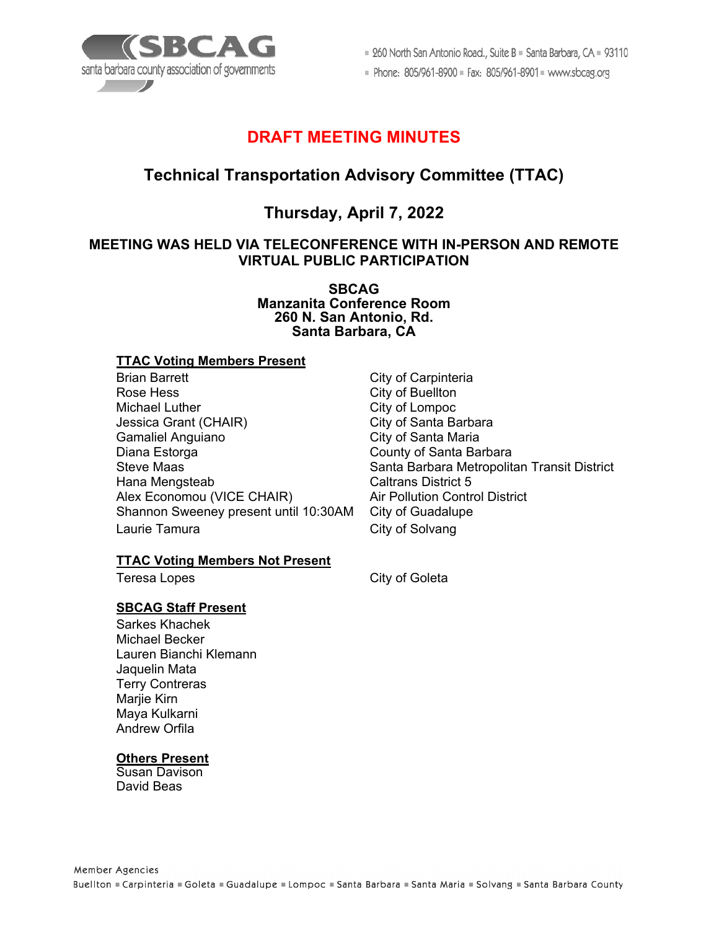

■ 260 North San Antonio Road., Suite B ■ Santa Barbara, CA ■ 93110

Phone: 805/961-8900 = Fax: 805/961-8901 = www.sbcag.org

# **DRAFT MEETING MINUTES**

# **Technical Transportation Advisory Committee (TTAC)**

# **Thursday, April 7, 2022**

# **MEETING WAS HELD VIA TELECONFERENCE WITH IN-PERSON AND REMOTE VIRTUAL PUBLIC PARTICIPATION**

**SBCAG Manzanita Conference Room 260 N. San Antonio, Rd. Santa Barbara, CA**

### **TTAC Voting Members Present**

Brian Barrett **City of Carpinteria** Rose Hess City of Buellton Michael Luther City of Lompoc Jessica Grant (CHAIR) City of Santa Barbara Gamaliel Anguiano **City of Santa Maria** Diana Estorga County of Santa Barbara Hana Mengsteab Alex Economou (VICE CHAIR) Air Pollution Control District Shannon Sweeney present until 10:30AM City of Guadalupe Laurie Tamura **City of Solvang** 

### **TTAC Voting Members Not Present**

### **SBCAG Staff Present**

Sarkes Khachek Michael Becker Lauren Bianchi Klemann Jaquelin Mata Terry Contreras Marjie Kirn Maya Kulkarni Andrew Orfila

## **Others Present**

Susan Davison David Beas

Santa Barbara Metropolitan Transit District<br>Caltrans District 5

Teresa Lopes **City of Goleta**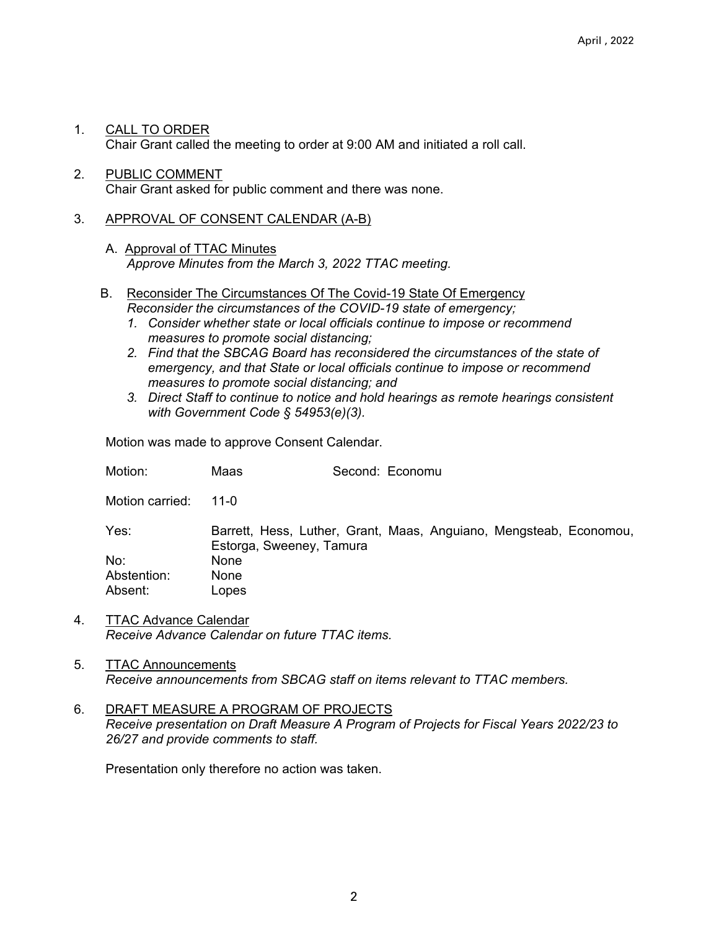- 1. CALL TO ORDER Chair Grant called the meeting to order at 9:00 AM and initiated a roll call.
- 2. PUBLIC COMMENT Chair Grant asked for public comment and there was none.

### 3. APPROVAL OF CONSENT CALENDAR (A-B)

- A. Approval of TTAC Minutes *Approve Minutes from the March 3, 2022 TTAC meeting.*
- B. Reconsider The Circumstances Of The Covid-19 State Of Emergency *Reconsider the circumstances of the COVID-19 state of emergency;* 
	- *1. Consider whether state or local officials continue to impose or recommend measures to promote social distancing;*
	- *2. Find that the SBCAG Board has reconsidered the circumstances of the state of emergency, and that State or local officials continue to impose or recommend measures to promote social distancing; and*
	- *3. Direct Staff to continue to notice and hold hearings as remote hearings consistent with Government Code § 54953(e)(3).*

Motion was made to approve Consent Calendar.

| Motion:         | Maas                                                                                           | Second: Economu |  |  |
|-----------------|------------------------------------------------------------------------------------------------|-----------------|--|--|
| Motion carried: | 11-0                                                                                           |                 |  |  |
| Yes:            | Barrett, Hess, Luther, Grant, Maas, Anguiano, Mengsteab, Economou,<br>Estorga, Sweeney, Tamura |                 |  |  |
| No:             | <b>None</b>                                                                                    |                 |  |  |
| Abstention:     | <b>None</b>                                                                                    |                 |  |  |
| Absent:         | Lopes                                                                                          |                 |  |  |

- 4. TTAC Advance Calendar *Receive Advance Calendar on future TTAC items.*
- 5. TTAC Announcements *Receive announcements from SBCAG staff on items relevant to TTAC members.*
- 6. DRAFT MEASURE A PROGRAM OF PROJECTS *Receive presentation on Draft Measure A Program of Projects for Fiscal Years 2022/23 to 26/27 and provide comments to staff.*

Presentation only therefore no action was taken.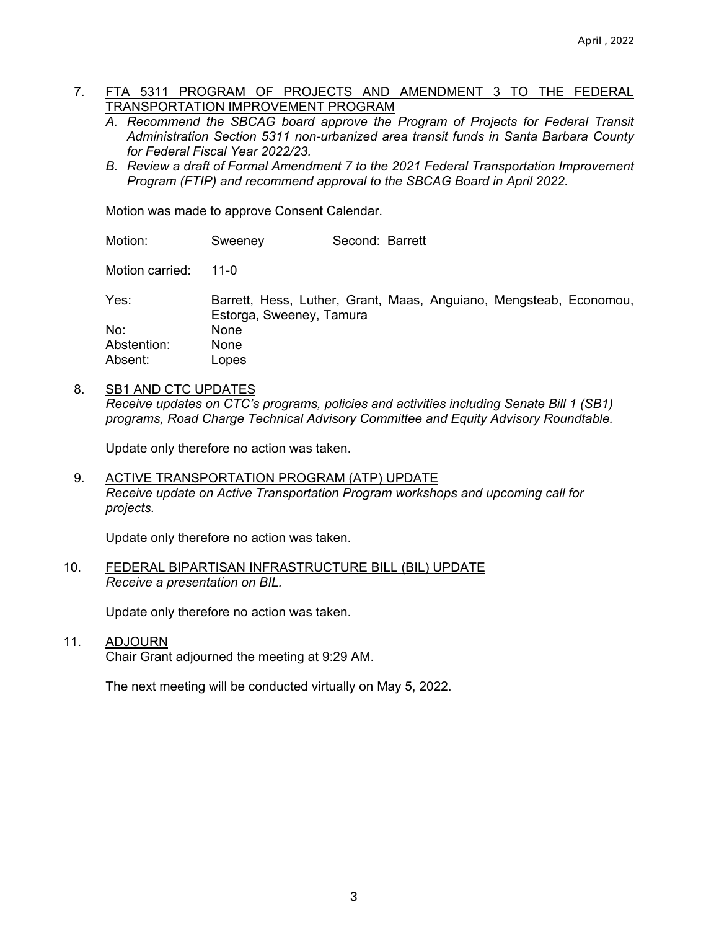### 7. FTA 5311 PROGRAM OF PROJECTS AND AMENDMENT 3 TO THE FEDERAL TRANSPORTATION IMPROVEMENT PROGRAM

- *A. Recommend the SBCAG board approve the Program of Projects for Federal Transit Administration Section 5311 non-urbanized area transit funds in Santa Barbara County for Federal Fiscal Year 2022/23.*
- *B. Review a draft of Formal Amendment 7 to the 2021 Federal Transportation Improvement Program (FTIP) and recommend approval to the SBCAG Board in April 2022.*

Motion was made to approve Consent Calendar.

Motion: Sweeney Second: Barrett

Motion carried: 11-0

Yes: Barrett, Hess, Luther, Grant, Maas, Anguiano, Mengsteab, Economou, Estorga, Sweeney, Tamura No: None Abstention: None Absent: Lopes

#### 8. SB1 AND CTC UPDATES

*Receive updates on CTC's programs, policies and activities including Senate Bill 1 (SB1) programs, Road Charge Technical Advisory Committee and Equity Advisory Roundtable.* 

Update only therefore no action was taken.

9. ACTIVE TRANSPORTATION PROGRAM (ATP) UPDATE *Receive update on Active Transportation Program workshops and upcoming call for projects.*

Update only therefore no action was taken.

#### 10. FEDERAL BIPARTISAN INFRASTRUCTURE BILL (BIL) UPDATE *Receive a presentation on BIL.*

Update only therefore no action was taken.

11. ADJOURN

Chair Grant adjourned the meeting at 9:29 AM.

The next meeting will be conducted virtually on May 5, 2022.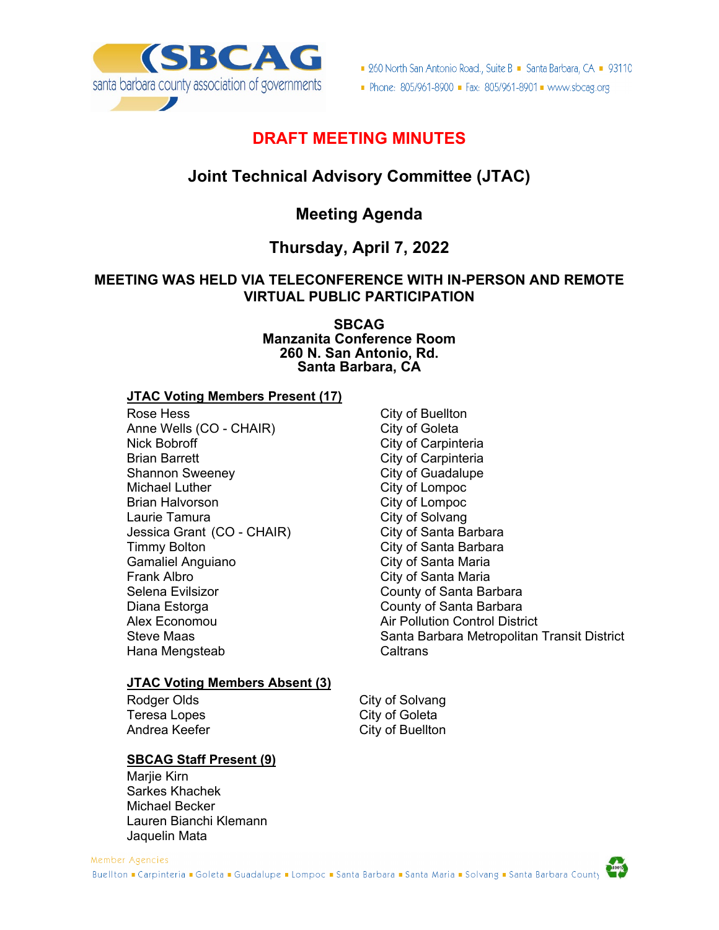

■ 260 North San Antonio Road., Suite B ■ Santa Barbara, CA ■ 93110

Phone: 805/961-8900 - Fax: 805/961-8901 - www.sbcag.org

# **DRAFT MEETING MINUTES**

# **Joint Technical Advisory Committee (JTAC)**

# **Meeting Agenda**

# **Thursday, April 7, 2022**

## **MEETING WAS HELD VIA TELECONFERENCE WITH IN-PERSON AND REMOTE VIRTUAL PUBLIC PARTICIPATION**

**SBCAG Manzanita Conference Room 260 N. San Antonio, Rd. Santa Barbara, CA**

### **JTAC Voting Members Present (17)**

Rose Hess **City of Buellton** Anne Wells (CO - CHAIR) City of Goleta<br>Nick Bobroff Carp City of Carpint Brian Barrett City of Carpinteria Shannon Sweeney Michael Luther City of Lompoc Brian Halvorson **City of Lompoc** Laurie Tamura<br>
Jessica Grant (CO - CHAIR) City of Santa Barbara Jessica Grant (CO - CHAIR) Timmy Bolton City of Santa Barbara Frank Albro **City of Santa Maria** Selena Evilsizor **County of Santa Barbara** Diana Estorga **County of Santa Barbara** Alex Economou Air Pollution Control District Hana Mengsteab Caltrans

## **JTAC Voting Members Absent (3)**

Teresa Lopes City of Goleta

## **SBCAG Staff Present (9)**

Mariie Kirn Sarkes Khachek Michael Becker Lauren Bianchi Klemann Jaquelin Mata

City of Carpinteria City of Santa Maria Steve Maas Nation Santa Barbara Metropolitan Transit District

Rodger Olds **City of Solvang** City of Buellton

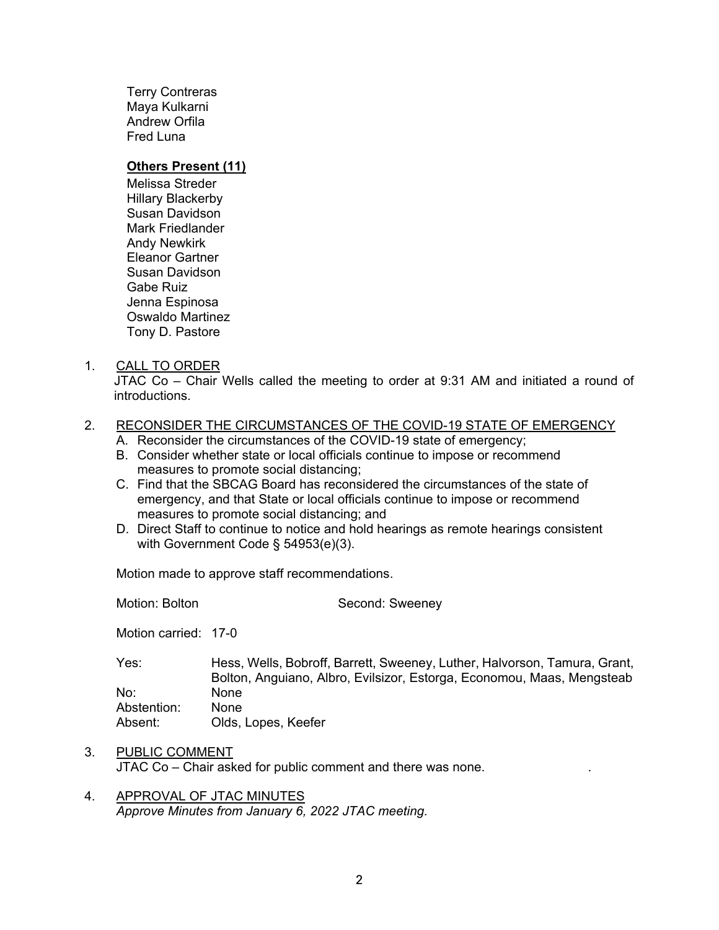Terry Contreras Maya Kulkarni Andrew Orfila Fred Luna

#### **Others Present (11)**

Melissa Streder Hillary Blackerby Susan Davidson Mark Friedlander Andy Newkirk Eleanor Gartner Susan Davidson Gabe Ruiz Jenna Espinosa Oswaldo Martinez Tony D. Pastore

#### 1. CALL TO ORDER

JTAC Co – Chair Wells called the meeting to order at 9:31 AM and initiated a round of introductions.

#### 2. RECONSIDER THE CIRCUMSTANCES OF THE COVID-19 STATE OF EMERGENCY

- A. Reconsider the circumstances of the COVID-19 state of emergency;
- B. Consider whether state or local officials continue to impose or recommend measures to promote social distancing;
- C. Find that the SBCAG Board has reconsidered the circumstances of the state of emergency, and that State or local officials continue to impose or recommend measures to promote social distancing; and
- D. Direct Staff to continue to notice and hold hearings as remote hearings consistent with Government Code § 54953(e)(3).

Motion made to approve staff recommendations.

Motion: Bolton Second: Sweeney Motion carried: 17-0 Yes: Hess, Wells, Bobroff, Barrett, Sweeney, Luther, Halvorson, Tamura, Grant, Bolton, Anguiano, Albro, Evilsizor, Estorga, Economou, Maas, Mengsteab No: None Abstention: None Absent: Olds, Lopes, Keefer

- 3. PUBLIC COMMENT JTAC Co – Chair asked for public comment and there was none. .
- 4. APPROVAL OF JTAC MINUTES *Approve Minutes from January 6, 2022 JTAC meeting.*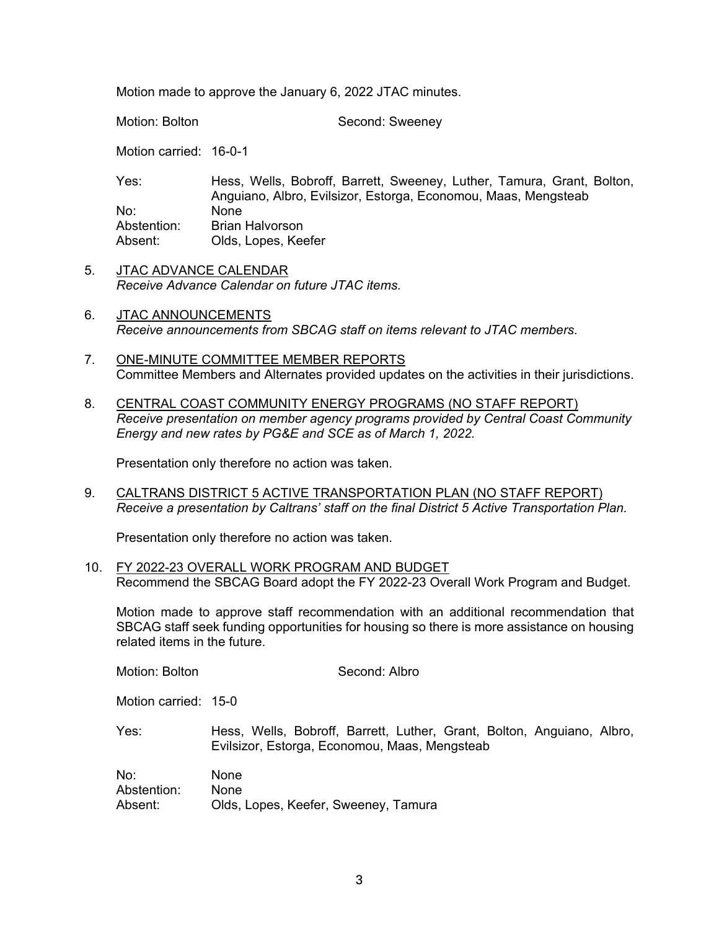Motion made to approve the January 6, 2022 JTAC minutes.

Motion: Bolton Second: Sweeney

Motion carried: 16-0-1

| Yes:        | Hess, Wells, Bobroff, Barrett, Sweeney, Luther, Tamura, Grant, Bolton, |
|-------------|------------------------------------------------------------------------|
|             | Anguiano, Albro, Evilsizor, Estorga, Economou, Maas, Mengsteab         |
| No:         | None                                                                   |
| Abstention: | Brian Halvorson                                                        |
| Absent:     | Olds, Lopes, Keefer                                                    |

- 5. JTAC ADVANCE CALENDAR *Receive Advance Calendar on future JTAC items.*
- 6. JTAC ANNOUNCEMENTS *Receive announcements from SBCAG staff on items relevant to JTAC members.*
- 7. ONE-MINUTE COMMITTEE MEMBER REPORTS Committee Members and Alternates provided updates on the activities in their jurisdictions.
- 8. CENTRAL COAST COMMUNITY ENERGY PROGRAMS (NO STAFF REPORT) *Receive presentation on member agency programs provided by Central Coast Community Energy and new rates by PG&E and SCE as of March 1, 2022.*

Presentation only therefore no action was taken.

9. CALTRANS DISTRICT 5 ACTIVE TRANSPORTATION PLAN (NO STAFF REPORT) *Receive a presentation by Caltrans' staff on the final District 5 Active Transportation Plan.*

Presentation only therefore no action was taken.

10. FY 2022-23 OVERALL WORK PROGRAM AND BUDGET Recommend the SBCAG Board adopt the FY 2022-23 Overall Work Program and Budget.

Motion made to approve staff recommendation with an additional recommendation that SBCAG staff seek funding opportunities for housing so there is more assistance on housing related items in the future.

| Motion: Bolton                | Second: Albro                                                                                                           |
|-------------------------------|-------------------------------------------------------------------------------------------------------------------------|
| Motion carried: 15-0          |                                                                                                                         |
| Yes:                          | Hess, Wells, Bobroff, Barrett, Luther, Grant, Bolton, Anguiano, Albro,<br>Evilsizor, Estorga, Economou, Maas, Mengsteab |
| No:<br>Abstention:<br>Absent: | <b>None</b><br><b>None</b><br>Olds, Lopes, Keefer, Sweeney, Tamura                                                      |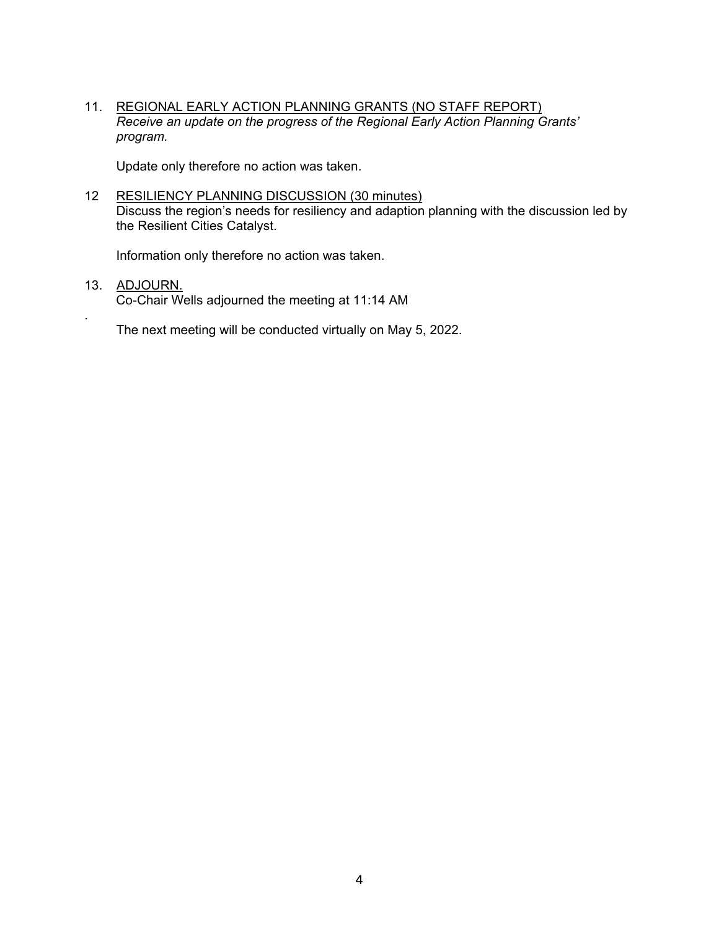11. REGIONAL EARLY ACTION PLANNING GRANTS (NO STAFF REPORT) *Receive an update on the progress of the Regional Early Action Planning Grants' program.*

Update only therefore no action was taken.

12 RESILIENCY PLANNING DISCUSSION (30 minutes) Discuss the region's needs for resiliency and adaption planning with the discussion led by the Resilient Cities Catalyst.

Information only therefore no action was taken.

13. ADJOURN. Co-Chair Wells adjourned the meeting at 11:14 AM

.

The next meeting will be conducted virtually on May 5, 2022.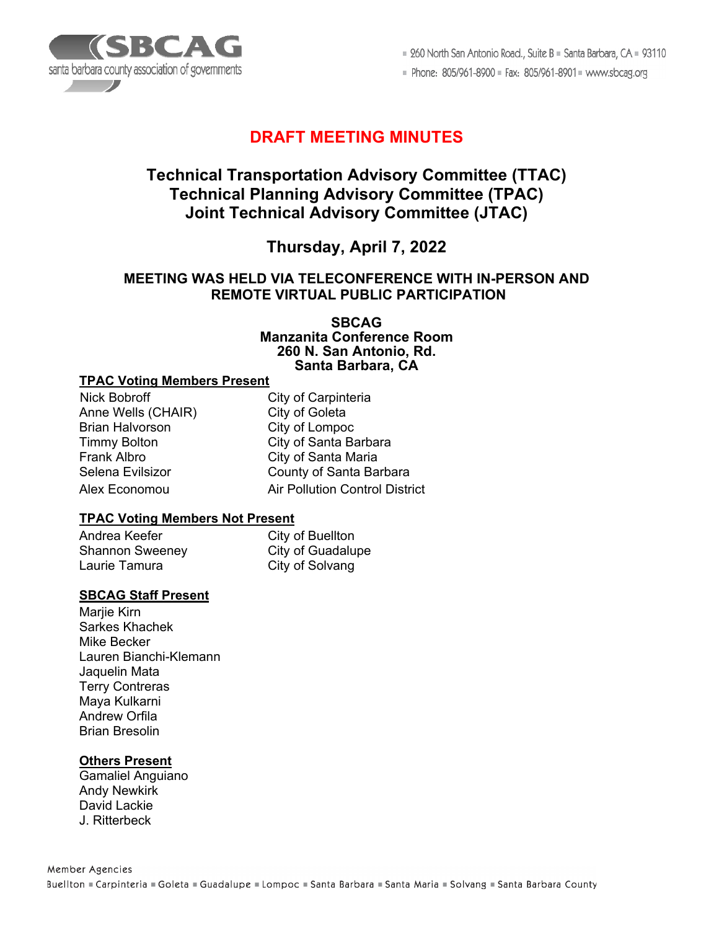

■ 260 North San Antonio Road., Suite B ■ Santa Barbara, CA ■ 93110

Phone: 805/961-8900 = Fax: 805/961-8901 = www.sbcag.org

# **DRAFT MEETING MINUTES**

# **Technical Transportation Advisory Committee (TTAC) Technical Planning Advisory Committee (TPAC) Joint Technical Advisory Committee (JTAC)**

# **Thursday, April 7, 2022**

### **MEETING WAS HELD VIA TELECONFERENCE WITH IN-PERSON AND REMOTE VIRTUAL PUBLIC PARTICIPATION**

**SBCAG Manzanita Conference Room 260 N. San Antonio, Rd. Santa Barbara, CA**

#### **TPAC Voting Members Present**

Nick Bobroff City of Carpinteria Anne Wells (CHAIR) City of Goleta<br>Brian Halvorson City of Lompoc Brian Halvorson Frank Albro **City of Santa Maria** 

Timmy Bolton City of Santa Barbara Selena Evilsizor County of Santa Barbara Alex Economou Air Pollution Control District

### **TPAC Voting Members Not Present**

Andrea Keefer City of Buellton Laurie Tamura City of Solvang

City of Guadalupe

### **SBCAG Staff Present**

Mariie Kirn Sarkes Khachek Mike Becker Lauren Bianchi-Klemann Jaquelin Mata Terry Contreras Maya Kulkarni Andrew Orfila Brian Bresolin

### **Others Present**

Gamaliel Anguiano Andy Newkirk David Lackie J. Ritterbeck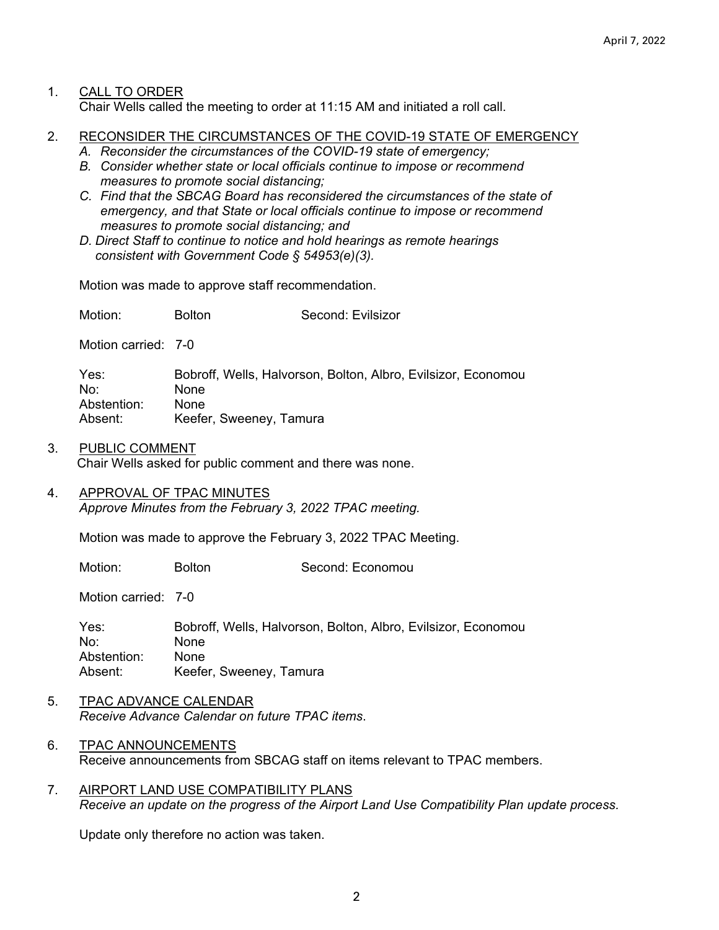### 1. CALL TO ORDER

Chair Wells called the meeting to order at 11:15 AM and initiated a roll call.

- 2. RECONSIDER THE CIRCUMSTANCES OF THE COVID-19 STATE OF EMERGENCY
	- *A. Reconsider the circumstances of the COVID-19 state of emergency;*
	- *B. Consider whether state or local officials continue to impose or recommend measures to promote social distancing;*
	- *C. Find that the SBCAG Board has reconsidered the circumstances of the state of emergency, and that State or local officials continue to impose or recommend measures to promote social distancing; and*
	- *D. Direct Staff to continue to notice and hold hearings as remote hearings consistent with Government Code § 54953(e)(3).*

Motion was made to approve staff recommendation.

Motion: Bolton Second: Evilsizor

Motion carried: 7-0

Yes: Bobroff, Wells, Halvorson, Bolton, Albro, Evilsizor, Economou No: None Abstention: None Absent: Keefer, Sweeney, Tamura

- 3. PUBLIC COMMENT Chair Wells asked for public comment and there was none.
- 4. APPROVAL OF TPAC MINUTES *Approve Minutes from the February 3, 2022 TPAC meeting.*

Motion was made to approve the February 3, 2022 TPAC Meeting.

Motion: Bolton Second: Economou

Motion carried: 7-0

Yes: Bobroff, Wells, Halvorson, Bolton, Albro, Evilsizor, Economou No: None Abstention: None Absent: Keefer, Sweeney, Tamura

- 5. TPAC ADVANCE CALENDAR *Receive Advance Calendar on future TPAC items*.
- 6. TPAC ANNOUNCEMENTS Receive announcements from SBCAG staff on items relevant to TPAC members.
- 7. AIRPORT LAND USE COMPATIBILITY PLANS *Receive an update on the progress of the Airport Land Use Compatibility Plan update process.*

Update only therefore no action was taken.